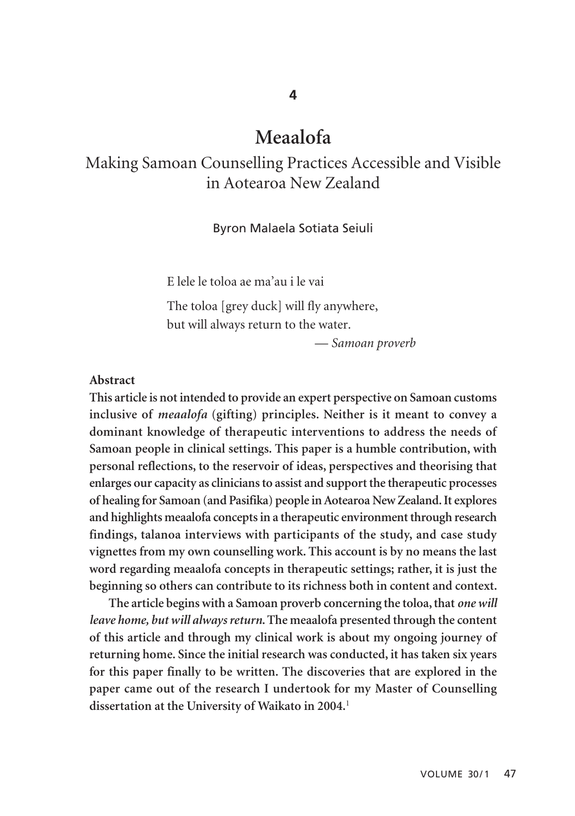# **Meaalofa**

## Making Samoan Counselling Practices Accessible and Visible in Aotearoa New Zealand

#### Byron Malaela Sotiata Seiuli

E lele le toloa ae ma'au i le vai

The toloa [grey duck] will fly anywhere, but will always return to the water.

— *Samoan proverb*

#### **Abstract**

**This article is not intended to provide an expert perspective on Samoan customs inclusive of** *meaalofa* **(gifting) principles. Neither is it meant to convey a dominant knowledge of therapeutic interventions to address the needs of Samoan people in clinical settings. This paper is a humble contribution, with personal reflections, to the reservoir of ideas, perspectives and theorising that enlarges our capacity as clinicians to assist and support the therapeutic processes of healing for Samoan (and Pasifika) people in Aotearoa New Zealand. It explores and highlights meaalofa concepts in a therapeutic environment through research findings, talanoa interviews with participants of the study, and case study vignettes from my own counselling work. This account is by no means the last word regarding meaalofa concepts in therapeutic settings; rather, it is just the beginning so others can contribute to its richness both in content and context.** 

**The article begins with a Samoan proverb concerning the toloa, that** *one will leave home, but will always return***. The meaalofa presented through the content of this article and through my clinical work is about my ongoing journey of returning home. Since the initial research was conducted, it has taken six years for this paper finally to be written. The discoveries that are explored in the paper came out of the research I undertook for my Master of Counselling dissertation at the University of Waikato in 2004.**<sup>1</sup>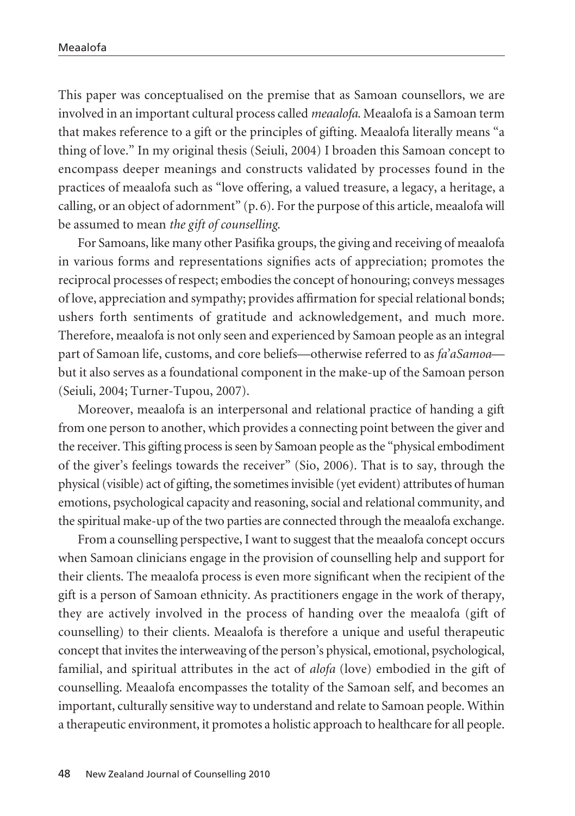This paper was conceptualised on the premise that as Samoan counsellors, we are involved in an important cultural process called *meaalofa*. Meaalofa is a Samoan term that makes reference to a gift or the principles of gifting. Meaalofa literally means "a thing of love." In my original thesis (Seiuli, 2004) I broaden this Samoan concept to encompass deeper meanings and constructs validated by processes found in the practices of meaalofa such as "love offering, a valued treasure, a legacy, a heritage, a calling, or an object of adornment" (p. 6). For the purpose of this article, meaalofa will be assumed to mean *the gift of counselling*.

For Samoans, like many other Pasifika groups, the giving and receiving of meaalofa in various forms and representations signifies acts of appreciation; promotes the reciprocal processes of respect; embodies the concept of honouring; conveys messages of love, appreciation and sympathy; provides affirmation for special relational bonds; ushers forth sentiments of gratitude and acknowledgement, and much more. Therefore, meaalofa is not only seen and experienced by Samoan people as an integral part of Samoan life, customs, and core beliefs—otherwise referred to as *fa'aSamoa* but it also serves as a foundational component in the make-up of the Samoan person (Seiuli, 2004; Turner-Tupou, 2007).

Moreover, meaalofa is an interpersonal and relational practice of handing a gift from one person to another, which provides a connecting point between the giver and the receiver. This gifting process is seen by Samoan people as the "physical embodiment of the giver's feelings towards the receiver" (Sio, 2006). That is to say, through the physical (visible) act of gifting, the sometimes invisible (yet evident) attributes of human emotions, psychological capacity and reasoning, social and relational community, and the spiritual make-up of the two parties are connected through the meaalofa exchange.

From a counselling perspective, I want to suggest that the meaalofa concept occurs when Samoan clinicians engage in the provision of counselling help and support for their clients. The meaalofa process is even more significant when the recipient of the gift is a person of Samoan ethnicity. As practitioners engage in the work of therapy, they are actively involved in the process of handing over the meaalofa (gift of counselling) to their clients. Meaalofa is therefore a unique and useful therapeutic concept that invites the interweaving of the person's physical, emotional, psychological, familial, and spiritual attributes in the act of *alofa* (love) embodied in the gift of counselling. Meaalofa encompasses the totality of the Samoan self, and becomes an important, culturally sensitive way to understand and relate to Samoan people. Within a therapeutic environment, it promotes a holistic approach to healthcare for all people.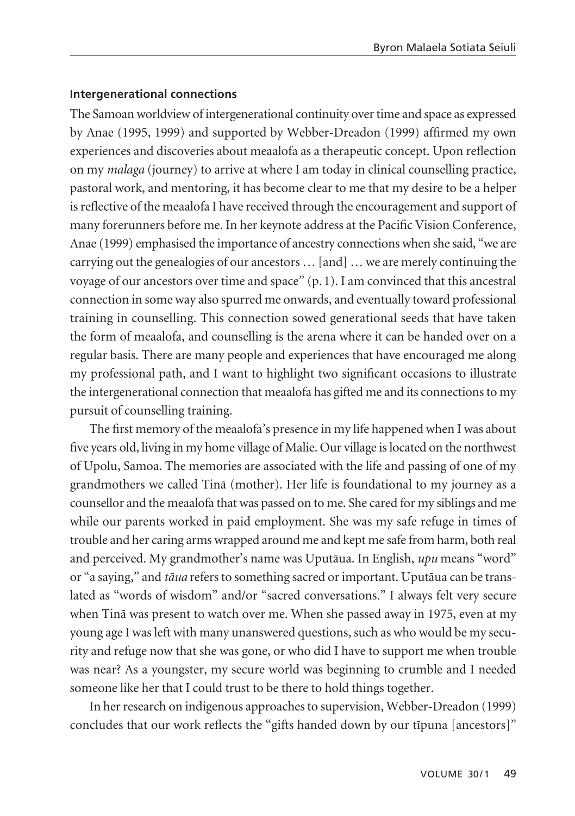#### **Intergenerational connections**

The Samoan worldview of intergenerational continuity over time and space as expressed by Anae (1995, 1999) and supported by Webber-Dreadon (1999) affirmed my own experiences and discoveries about meaalofa as a therapeutic concept. Upon reflection on my *malaga* (journey) to arrive at where I am today in clinical counselling practice, pastoral work, and mentoring, it has become clear to me that my desire to be a helper is reflective of the meaalofa I have received through the encouragement and support of many forerunners before me. In her keynote address at the Pacific Vision Conference, Anae (1999) emphasised the importance of ancestry connections when she said, "we are carrying out the genealogies of our ancestors … [and] … we are merely continuing the voyage of our ancestors over time and space" (p. 1). I am convinced that this ancestral connection in some way also spurred me onwards, and eventually toward professional training in counselling. This connection sowed generational seeds that have taken the form of meaalofa, and counselling is the arena where it can be handed over on a regular basis. There are many people and experiences that have encouraged me along my professional path, and I want to highlight two significant occasions to illustrate the intergenerational connection that meaalofa has gifted me and its connections to my pursuit of counselling training.

The first memory of the meaalofa's presence in my life happened when I was about five years old, living in my home village of Malie. Our village is located on the northwest of Upolu, Samoa. The memories are associated with the life and passing of one of my grandmothers we called Tinä (mother). Her life is foundational to my journey as a counsellor and the meaalofa that was passed on to me. She cared for my siblings and me while our parents worked in paid employment. She was my safe refuge in times of trouble and her caring arms wrapped around me and kept me safe from harm, both real and perceived. My grandmother's name was Uputäua. In English, *upu* means "word" or "a saying," and *täua* refers to something sacred or important. Uputäua can be translated as "words of wisdom" and/or "sacred conversations." I always felt very secure when Tinä was present to watch over me. When she passed away in 1975, even at my young age I was left with many unanswered questions, such as who would be my security and refuge now that she was gone, or who did I have to support me when trouble was near? As a youngster, my secure world was beginning to crumble and I needed someone like her that I could trust to be there to hold things together.

In her research on indigenous approaches to supervision, Webber-Dreadon (1999) concludes that our work reflects the "gifts handed down by our tïpuna [ancestors]"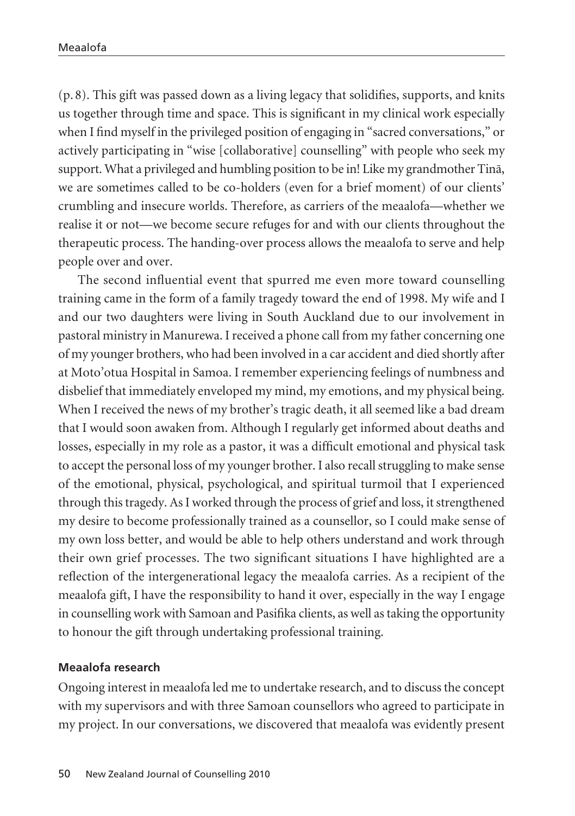(p. 8). This gift was passed down as a living legacy that solidifies, supports, and knits us together through time and space. This is significant in my clinical work especially when I find myself in the privileged position of engaging in "sacred conversations," or actively participating in "wise [collaborative] counselling" with people who seek my support. What a privileged and humbling position to be in! Like my grandmother Tinä, we are sometimes called to be co-holders (even for a brief moment) of our clients' crumbling and insecure worlds. Therefore, as carriers of the meaalofa—whether we realise it or not—we become secure refuges for and with our clients throughout the therapeutic process. The handing-over process allows the meaalofa to serve and help people over and over.

The second influential event that spurred me even more toward counselling training came in the form of a family tragedy toward the end of 1998. My wife and I and our two daughters were living in South Auckland due to our involvement in pastoral ministry in Manurewa. I received a phone call from my father concerning one of my younger brothers, who had been involved in a car accident and died shortly after at Moto'otua Hospital in Samoa. I remember experiencing feelings of numbness and disbelief that immediately enveloped my mind, my emotions, and my physical being. When I received the news of my brother's tragic death, it all seemed like a bad dream that I would soon awaken from. Although I regularly get informed about deaths and losses, especially in my role as a pastor, it was a difficult emotional and physical task to accept the personal loss of my younger brother. I also recall struggling to make sense of the emotional, physical, psychological, and spiritual turmoil that I experienced through this tragedy. As I worked through the process of grief and loss, it strengthened my desire to become professionally trained as a counsellor, so I could make sense of my own loss better, and would be able to help others understand and work through their own grief processes. The two significant situations I have highlighted are a reflection of the intergenerational legacy the meaalofa carries. As a recipient of the meaalofa gift, I have the responsibility to hand it over, especially in the way I engage in counselling work with Samoan and Pasifika clients, as well as taking the opportunity to honour the gift through undertaking professional training.

#### **Meaalofa research**

Ongoing interest in meaalofa led me to undertake research, and to discuss the concept with my supervisors and with three Samoan counsellors who agreed to participate in my project. In our conversations, we discovered that meaalofa was evidently present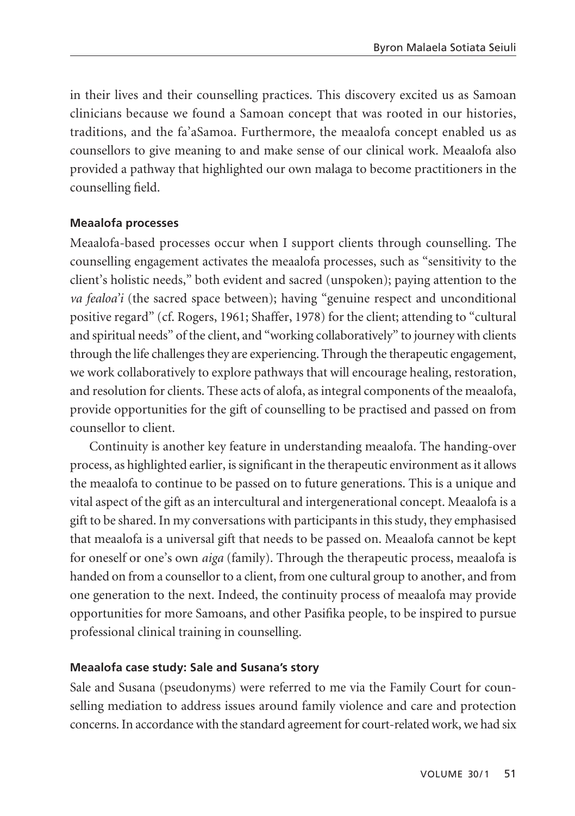in their lives and their counselling practices. This discovery excited us as Samoan clinicians because we found a Samoan concept that was rooted in our histories, traditions, and the fa'aSamoa. Furthermore, the meaalofa concept enabled us as counsellors to give meaning to and make sense of our clinical work. Meaalofa also provided a pathway that highlighted our own malaga to become practitioners in the counselling field.

## **Meaalofa processes**

Meaalofa-based processes occur when I support clients through counselling. The counselling engagement activates the meaalofa processes, such as "sensitivity to the client's holistic needs," both evident and sacred (unspoken); paying attention to the *va fealoa'i* (the sacred space between); having "genuine respect and unconditional positive regard" (cf. Rogers, 1961; Shaffer, 1978) for the client; attending to "cultural and spiritual needs" of the client, and "working collaboratively" to journey with clients through the life challenges they are experiencing. Through the therapeutic engagement, we work collaboratively to explore pathways that will encourage healing, restoration, and resolution for clients. These acts of alofa, as integral components of the meaalofa, provide opportunities for the gift of counselling to be practised and passed on from counsellor to client.

Continuity is another key feature in understanding meaalofa. The handing-over process, as highlighted earlier, is significant in the therapeutic environment as it allows the meaalofa to continue to be passed on to future generations. This is a unique and vital aspect of the gift as an intercultural and intergenerational concept. Meaalofa is a gift to be shared. In my conversations with participants in this study, they emphasised that meaalofa is a universal gift that needs to be passed on. Meaalofa cannot be kept for oneself or one's own *aiga* (family). Through the therapeutic process, meaalofa is handed on from a counsellor to a client, from one cultural group to another, and from one generation to the next. Indeed, the continuity process of meaalofa may provide opportunities for more Samoans, and other Pasifika people, to be inspired to pursue professional clinical training in counselling.

#### **Meaalofa case study: Sale and Susana's story**

Sale and Susana (pseudonyms) were referred to me via the Family Court for counselling mediation to address issues around family violence and care and protection concerns. In accordance with the standard agreement for court-related work, we had six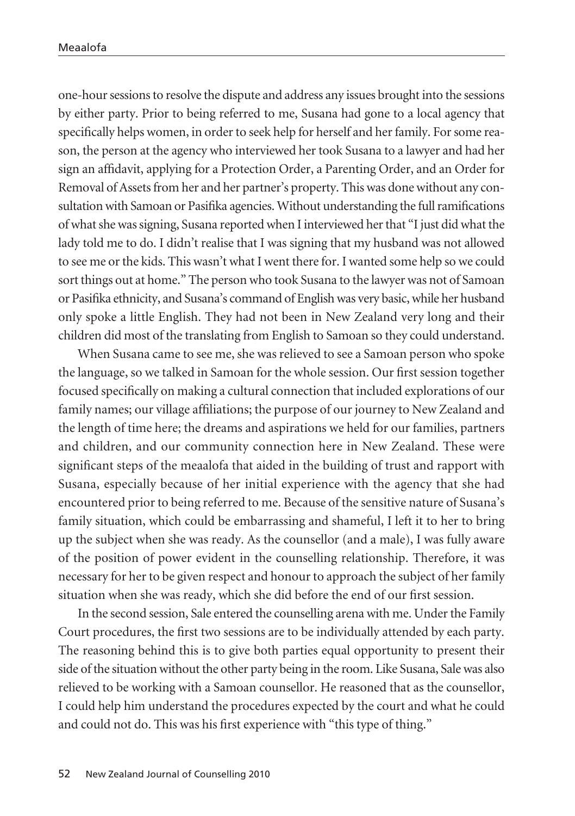one-hour sessions to resolve the dispute and address any issues brought into the sessions by either party. Prior to being referred to me, Susana had gone to a local agency that specifically helps women, in order to seek help for herself and her family. For some reason, the person at the agency who interviewed her took Susana to a lawyer and had her sign an affidavit, applying for a Protection Order, a Parenting Order, and an Order for Removal of Assets from her and her partner's property. This was done without any consultation with Samoan or Pasifika agencies. Without understanding the full ramifications of what she was signing, Susana reported when I interviewed her that "I just did what the lady told me to do. I didn't realise that I was signing that my husband was not allowed to see me or the kids. This wasn't what I went there for. I wanted some help so we could sort things out at home." The person who took Susana to the lawyer was not of Samoan or Pasifika ethnicity, and Susana's command of English was very basic, while her husband only spoke a little English. They had not been in New Zealand very long and their children did most of the translating from English to Samoan so they could understand.

When Susana came to see me, she was relieved to see a Samoan person who spoke the language, so we talked in Samoan for the whole session. Our first session together focused specifically on making a cultural connection that included explorations of our family names; our village affiliations; the purpose of our journey to New Zealand and the length of time here; the dreams and aspirations we held for our families, partners and children, and our community connection here in New Zealand. These were significant steps of the meaalofa that aided in the building of trust and rapport with Susana, especially because of her initial experience with the agency that she had encountered prior to being referred to me. Because of the sensitive nature of Susana's family situation, which could be embarrassing and shameful, I left it to her to bring up the subject when she was ready. As the counsellor (and a male), I was fully aware of the position of power evident in the counselling relationship. Therefore, it was necessary for her to be given respect and honour to approach the subject of her family situation when she was ready, which she did before the end of our first session.

In the second session, Sale entered the counselling arena with me. Under the Family Court procedures, the first two sessions are to be individually attended by each party. The reasoning behind this is to give both parties equal opportunity to present their side of the situation without the other party being in the room. Like Susana, Sale was also relieved to be working with a Samoan counsellor. He reasoned that as the counsellor, I could help him understand the procedures expected by the court and what he could and could not do. This was his first experience with "this type of thing."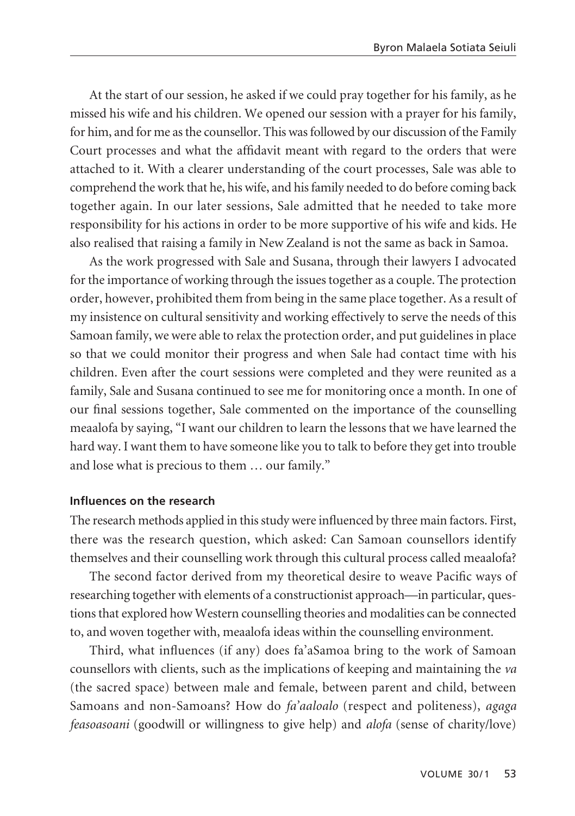At the start of our session, he asked if we could pray together for his family, as he missed his wife and his children. We opened our session with a prayer for his family, for him, and for me as the counsellor. This was followed by our discussion of the Family Court processes and what the affidavit meant with regard to the orders that were attached to it. With a clearer understanding of the court processes, Sale was able to comprehend the work that he, his wife, and his family needed to do before coming back together again. In our later sessions, Sale admitted that he needed to take more responsibility for his actions in order to be more supportive of his wife and kids. He also realised that raising a family in New Zealand is not the same as back in Samoa.

As the work progressed with Sale and Susana, through their lawyers I advocated for the importance of working through the issues together as a couple. The protection order, however, prohibited them from being in the same place together. As a result of my insistence on cultural sensitivity and working effectively to serve the needs of this Samoan family, we were able to relax the protection order, and put guidelines in place so that we could monitor their progress and when Sale had contact time with his children. Even after the court sessions were completed and they were reunited as a family, Sale and Susana continued to see me for monitoring once a month. In one of our final sessions together, Sale commented on the importance of the counselling meaalofa by saying, "I want our children to learn the lessons that we have learned the hard way. I want them to have someone like you to talk to before they get into trouble and lose what is precious to them … our family."

#### **Influences on the research**

The research methods applied in this study were influenced by three main factors. First, there was the research question, which asked: Can Samoan counsellors identify themselves and their counselling work through this cultural process called meaalofa?

The second factor derived from my theoretical desire to weave Pacific ways of researching together with elements of a constructionist approach—in particular, questions that explored how Western counselling theories and modalities can be connected to, and woven together with, meaalofa ideas within the counselling environment.

Third, what influences (if any) does fa'aSamoa bring to the work of Samoan counsellors with clients, such as the implications of keeping and maintaining the *va* (the sacred space) between male and female, between parent and child, between Samoans and non-Samoans? How do *fa'aaloalo* (respect and politeness), *agaga feasoasoani* (goodwill or willingness to give help) and *alofa* (sense of charity/love)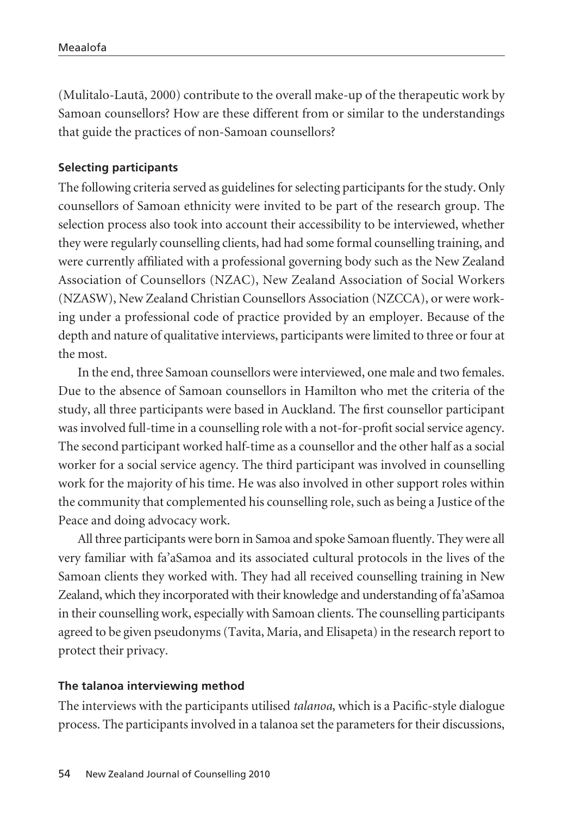(Mulitalo-Lautä, 2000) contribute to the overall make-up of the therapeutic work by Samoan counsellors? How are these different from or similar to the understandings that guide the practices of non-Samoan counsellors?

#### **Selecting participants**

The following criteria served as guidelines for selecting participants for the study. Only counsellors of Samoan ethnicity were invited to be part of the research group. The selection process also took into account their accessibility to be interviewed, whether they were regularly counselling clients, had had some formal counselling training, and were currently affiliated with a professional governing body such as the New Zealand Association of Counsellors (NZAC), New Zealand Association of Social Workers (NZASW), New Zealand Christian Counsellors Association (NZCCA), or were working under a professional code of practice provided by an employer. Because of the depth and nature of qualitative interviews, participants were limited to three or four at the most.

In the end, three Samoan counsellors were interviewed, one male and two females. Due to the absence of Samoan counsellors in Hamilton who met the criteria of the study, all three participants were based in Auckland. The first counsellor participant was involved full-time in a counselling role with a not-for-profit social service agency. The second participant worked half-time as a counsellor and the other half as a social worker for a social service agency. The third participant was involved in counselling work for the majority of his time. He was also involved in other support roles within the community that complemented his counselling role, such as being a Justice of the Peace and doing advocacy work.

All three participants were born in Samoa and spoke Samoan fluently. They were all very familiar with fa'aSamoa and its associated cultural protocols in the lives of the Samoan clients they worked with. They had all received counselling training in New Zealand, which they incorporated with their knowledge and understanding of fa'aSamoa in their counselling work, especially with Samoan clients. The counselling participants agreed to be given pseudonyms (Tavita, Maria, and Elisapeta) in the research report to protect their privacy.

#### **The talanoa interviewing method**

The interviews with the participants utilised *talanoa*, which is a Pacific-style dialogue process. The participants involved in a talanoa set the parameters for their discussions,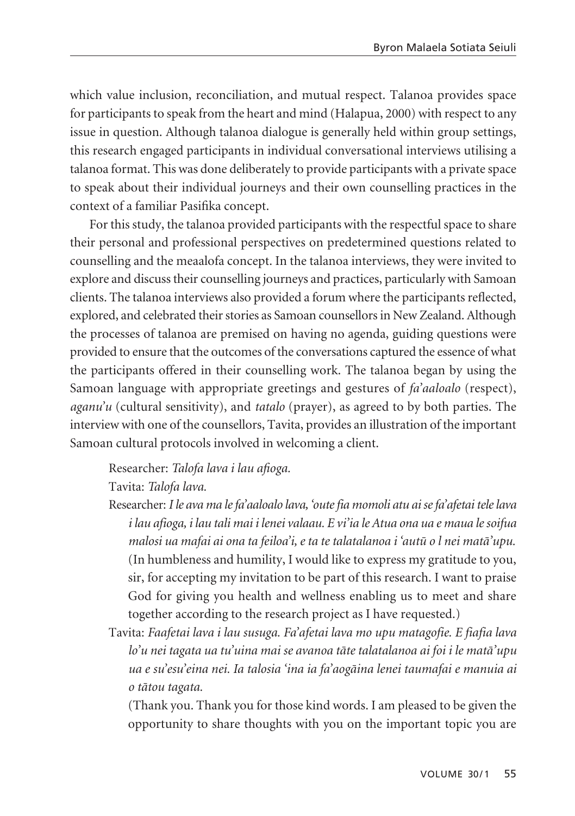which value inclusion, reconciliation, and mutual respect. Talanoa provides space for participants to speak from the heart and mind (Halapua, 2000) with respect to any issue in question. Although talanoa dialogue is generally held within group settings, this research engaged participants in individual conversational interviews utilising a talanoa format. This was done deliberately to provide participants with a private space to speak about their individual journeys and their own counselling practices in the context of a familiar Pasifika concept.

For this study, the talanoa provided participants with the respectful space to share their personal and professional perspectives on predetermined questions related to counselling and the meaalofa concept. In the talanoa interviews, they were invited to explore and discuss their counselling journeys and practices, particularly with Samoan clients. The talanoa interviews also provided a forum where the participants reflected, explored, and celebrated their stories as Samoan counsellors in New Zealand. Although the processes of talanoa are premised on having no agenda, guiding questions were provided to ensure that the outcomes of the conversations captured the essence of what the participants offered in their counselling work. The talanoa began by using the Samoan language with appropriate greetings and gestures of *fa'aaloalo* (respect), *aganu'u* (cultural sensitivity), and *tatalo* (prayer), as agreed to by both parties. The interview with one of the counsellors, Tavita, provides an illustration of the important Samoan cultural protocols involved in welcoming a client.

Researcher: *Talofa lava i lau afioga.*

Tavita: *Talofa lava.*

- Researcher: *I le ava ma le fa'aaloalo lava, 'oute fia momoli atu ai se fa'afetai tele lava i lau afioga, i lau tali mai i lenei valaau. E vi'ia le Atua ona ua e maua le soifua malosi ua mafai ai ona ta feiloa'i, e ta te talatalanoa i 'autü o l nei matä'upu.*  (In humbleness and humility, I would like to express my gratitude to you, sir, for accepting my invitation to be part of this research. I want to praise God for giving you health and wellness enabling us to meet and share together according to the research project as I have requested.)
- Tavita: *Faafetai lava i lau susuga. Fa'afetai lava mo upu matagofie. E fiafia lava lo'u nei tagata ua tu'uina mai se avanoa täte talatalanoa ai foi i le matä'upu ua e su'esu'eina nei. Ia talosia 'ina ia fa'aogäina lenei taumafai e manuia ai o tätou tagata.*

(Thank you. Thank you for those kind words. I am pleased to be given the opportunity to share thoughts with you on the important topic you are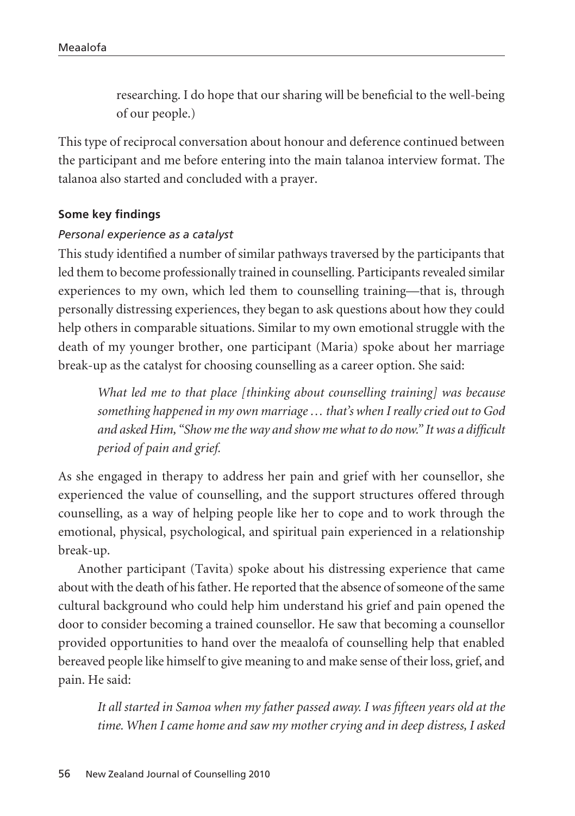researching. I do hope that our sharing will be beneficial to the well-being of our people.)

This type of reciprocal conversation about honour and deference continued between the participant and me before entering into the main talanoa interview format. The talanoa also started and concluded with a prayer.

#### **Some key findings**

#### *Personal experience as a catalyst*

This study identified a number of similar pathways traversed by the participants that led them to become professionally trained in counselling. Participants revealed similar experiences to my own, which led them to counselling training—that is, through personally distressing experiences, they began to ask questions about how they could help others in comparable situations. Similar to my own emotional struggle with the death of my younger brother, one participant (Maria) spoke about her marriage break-up as the catalyst for choosing counselling as a career option. She said:

*What led me to that place [thinking about counselling training] was because something happened in my own marriage … that's when I really cried out to God and asked Him, "Show me the way and show me what to do now." It was a difficult period of pain and grief.*

As she engaged in therapy to address her pain and grief with her counsellor, she experienced the value of counselling, and the support structures offered through counselling, as a way of helping people like her to cope and to work through the emotional, physical, psychological, and spiritual pain experienced in a relationship break-up.

Another participant (Tavita) spoke about his distressing experience that came about with the death of his father. He reported that the absence of someone of the same cultural background who could help him understand his grief and pain opened the door to consider becoming a trained counsellor. He saw that becoming a counsellor provided opportunities to hand over the meaalofa of counselling help that enabled bereaved people like himself to give meaning to and make sense of their loss, grief, and pain. He said:

*It all started in Samoa when my father passed away. I was fifteen years old at the time. When I came home and saw my mother crying and in deep distress, I asked*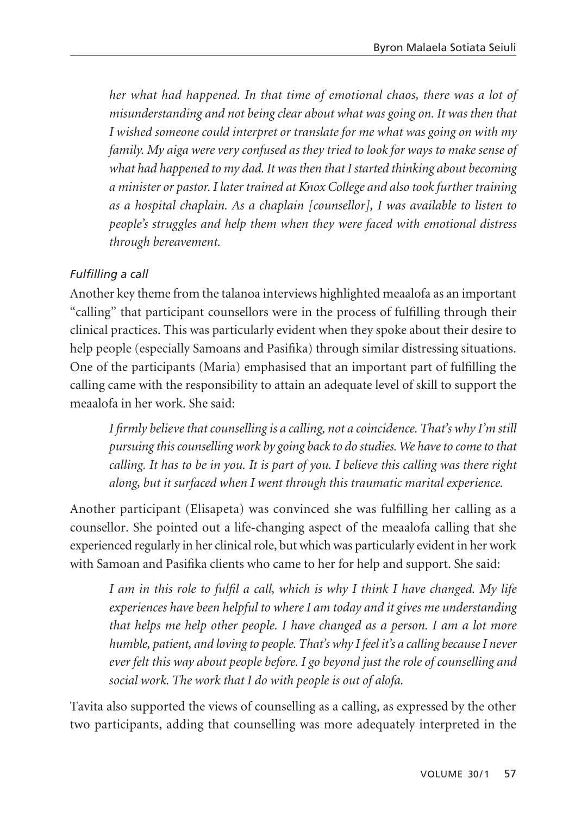*her what had happened. In that time of emotional chaos, there was a lot of misunderstanding and not being clear about what was going on. It was then that I wished someone could interpret or translate for me what was going on with my family. My aiga were very confused as they tried to look for ways to make sense of what had happened to my dad. It was then that I started thinking about becoming a minister or pastor. I later trained at Knox College and also took further training as a hospital chaplain. As a chaplain [counsellor], I was available to listen to people's struggles and help them when they were faced with emotional distress through bereavement.*

## *Fulfilling a call*

Another key theme from the talanoa interviews highlighted meaalofa as an important "calling" that participant counsellors were in the process of fulfilling through their clinical practices. This was particularly evident when they spoke about their desire to help people (especially Samoans and Pasifika) through similar distressing situations. One of the participants (Maria) emphasised that an important part of fulfilling the calling came with the responsibility to attain an adequate level of skill to support the meaalofa in her work. She said:

*I firmly believe that counselling is a calling, not a coincidence. That's why I'm still pursuing this counselling work by going back to do studies. We have to come to that calling. It has to be in you. It is part of you. I believe this calling was there right along, but it surfaced when I went through this traumatic marital experience.*

Another participant (Elisapeta) was convinced she was fulfilling her calling as a counsellor. She pointed out a life-changing aspect of the meaalofa calling that she experienced regularly in her clinical role, but which was particularly evident in her work with Samoan and Pasifika clients who came to her for help and support. She said:

*I am in this role to fulfil a call, which is why I think I have changed. My life experiences have been helpful to where I am today and it gives me understanding that helps me help other people. I have changed as a person. I am a lot more humble, patient, and loving to people. That's why I feel it's a calling because I never ever felt this way about people before. I go beyond just the role of counselling and social work. The work that I do with people is out of alofa.*

Tavita also supported the views of counselling as a calling, as expressed by the other two participants, adding that counselling was more adequately interpreted in the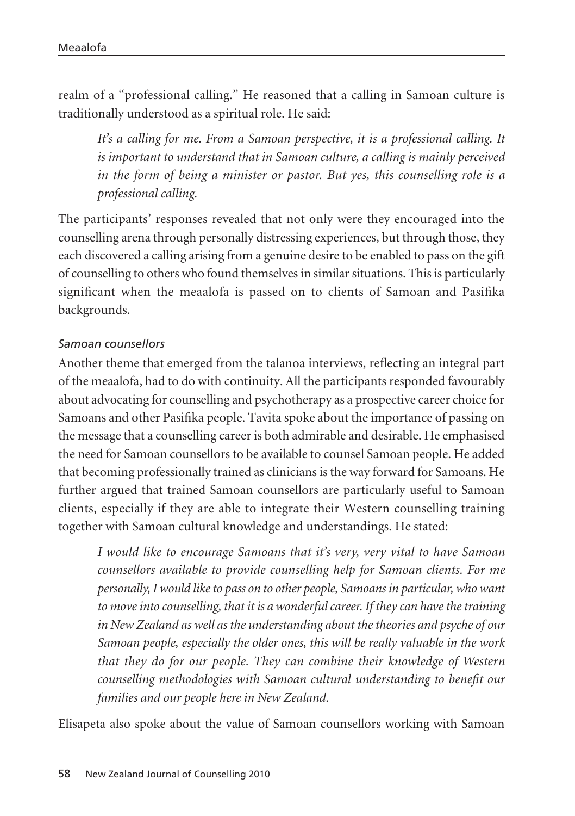realm of a "professional calling." He reasoned that a calling in Samoan culture is traditionally understood as a spiritual role. He said:

It's a calling for me. From a Samoan perspective, it is a professional calling. It *is important to understand that in Samoan culture, a calling is mainly perceived in the form of being a minister or pastor. But yes, this counselling role is a professional calling.*

The participants' responses revealed that not only were they encouraged into the counselling arena through personally distressing experiences, but through those, they each discovered a calling arising from a genuine desire to be enabled to pass on the gift of counselling to others who found themselves in similar situations. This is particularly significant when the meaalofa is passed on to clients of Samoan and Pasifika backgrounds.

## *Samoan counsellors*

Another theme that emerged from the talanoa interviews, reflecting an integral part of the meaalofa, had to do with continuity. All the participants responded favourably about advocating for counselling and psychotherapy as a prospective career choice for Samoans and other Pasifika people. Tavita spoke about the importance of passing on the message that a counselling career is both admirable and desirable. He emphasised the need for Samoan counsellors to be available to counsel Samoan people. He added that becoming professionally trained as clinicians is the way forward for Samoans. He further argued that trained Samoan counsellors are particularly useful to Samoan clients, especially if they are able to integrate their Western counselling training together with Samoan cultural knowledge and understandings. He stated:

*I would like to encourage Samoans that it's very, very vital to have Samoan counsellors available to provide counselling help for Samoan clients. For me personally, I would like to pass on to other people, Samoans in particular, who want to move into counselling, that it is a wonderful career. If they can have the training in New Zealand as well as the understanding about the theories and psyche of our Samoan people, especially the older ones, this will be really valuable in the work that they do for our people. They can combine their knowledge of Western counselling methodologies with Samoan cultural understanding to benefit our families and our people here in New Zealand.*

Elisapeta also spoke about the value of Samoan counsellors working with Samoan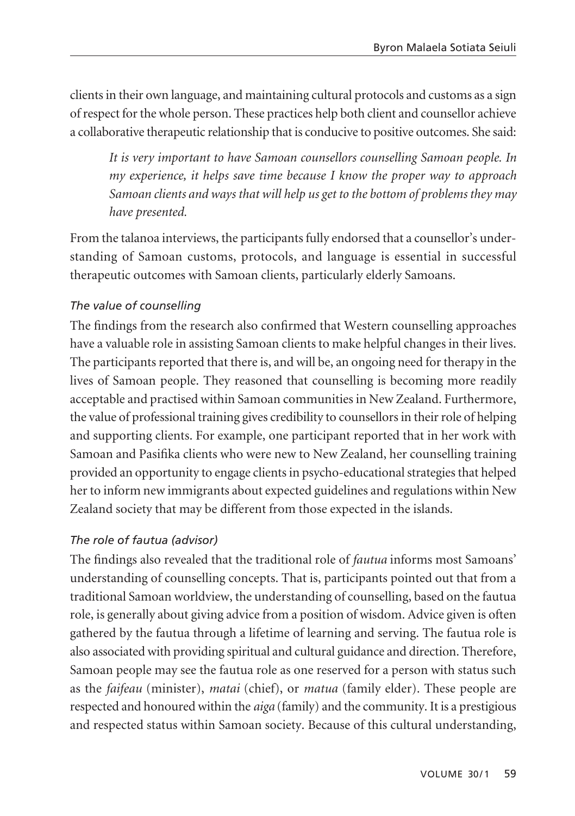clients in their own language, and maintaining cultural protocols and customs as a sign of respect for the whole person. These practices help both client and counsellor achieve a collaborative therapeutic relationship that is conducive to positive outcomes. She said:

*It is very important to have Samoan counsellors counselling Samoan people. In my experience, it helps save time because I know the proper way to approach Samoan clients and ways that will help us get to the bottom of problems they may have presented.* 

From the talanoa interviews, the participants fully endorsed that a counsellor's under standing of Samoan customs, protocols, and language is essential in successful therapeutic outcomes with Samoan clients, particularly elderly Samoans.

## *The value of counselling*

The findings from the research also confirmed that Western counselling approaches have a valuable role in assisting Samoan clients to make helpful changes in their lives. The participants reported that there is, and will be, an ongoing need for therapy in the lives of Samoan people. They reasoned that counselling is becoming more readily acceptable and practised within Samoan communities in New Zealand. Furthermore, the value of professional training gives credibility to counsellors in their role of helping and supporting clients. For example, one participant reported that in her work with Samoan and Pasifika clients who were new to New Zealand, her counselling training provided an opportunity to engage clients in psycho-educational strategies that helped her to inform new immigrants about expected guidelines and regulations within New Zealand society that may be different from those expected in the islands.

## *The role of fautua (advisor)*

The findings also revealed that the traditional role of *fautua* informs most Samoans' understanding of counselling concepts. That is, participants pointed out that from a traditional Samoan worldview, the understanding of counselling, based on the fautua role, is generally about giving advice from a position of wisdom. Advice given is often gathered by the fautua through a lifetime of learning and serving. The fautua role is also associated with providing spiritual and cultural guidance and direction. Therefore, Samoan people may see the fautua role as one reserved for a person with status such as the *faifeau* (minister), *matai* (chief), or *matua* (family elder). These people are respected and honoured within the *aiga* (family) and the community. It is a prestigious and respected status within Samoan society. Because of this cultural understanding,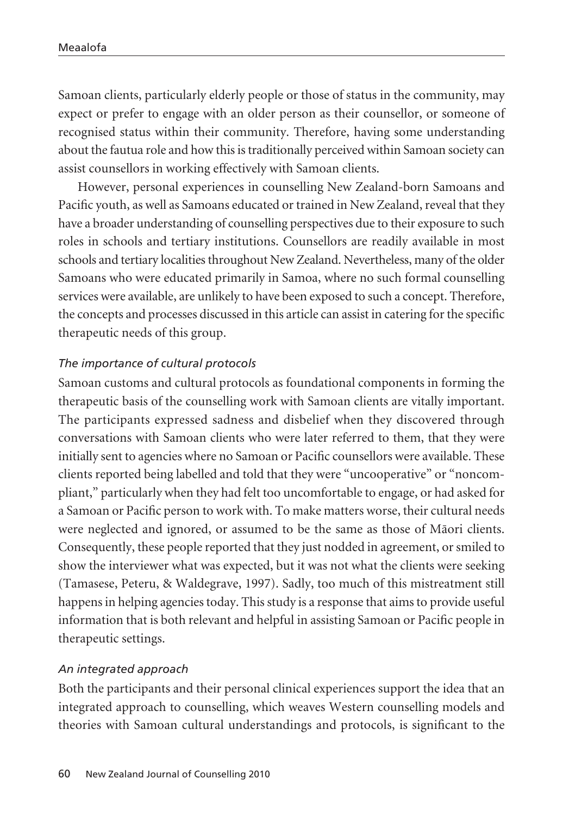Samoan clients, particularly elderly people or those of status in the community, may expect or prefer to engage with an older person as their counsellor, or someone of recognised status within their community. Therefore, having some understanding about the fautua role and how this is traditionally perceived within Samoan society can assist counsellors in working effectively with Samoan clients.

However, personal experiences in counselling New Zealand-born Samoans and Pacific youth, as well as Samoans educated or trained in New Zealand, reveal that they have a broader understanding of counselling perspectives due to their exposure to such roles in schools and tertiary institutions. Counsellors are readily available in most schools and tertiary localities throughout New Zealand. Nevertheless, many of the older Samoans who were educated primarily in Samoa, where no such formal counselling services were available, are unlikely to have been exposed to such a concept. Therefore, the concepts and processes discussed in this article can assist in catering for the specific therapeutic needs of this group.

#### *The importance of cultural protocols*

Samoan customs and cultural protocols as foundational components in forming the therapeutic basis of the counselling work with Samoan clients are vitally important. The participants expressed sadness and disbelief when they discovered through conversations with Samoan clients who were later referred to them, that they were initially sent to agencies where no Samoan or Pacific counsellors were available. These clients reported being labelled and told that they were "uncooperative" or "noncom pliant," particularly when they had felt too uncomfortable to engage, or had asked for a Samoan or Pacific person to work with. To make matters worse, their cultural needs were neglected and ignored, or assumed to be the same as those of Mäori clients. Consequently, these people reported that they just nodded in agreement, or smiled to show the interviewer what was expected, but it was not what the clients were seeking (Tamasese, Peteru, & Waldegrave, 1997). Sadly, too much of this mistreatment still happens in helping agencies today. This study is a response that aims to provide useful information that is both relevant and helpful in assisting Samoan or Pacific people in therapeutic settings.

#### *An integrated approach*

Both the participants and their personal clinical experiences support the idea that an integrated approach to counselling, which weaves Western counselling models and theories with Samoan cultural understandings and protocols, is significant to the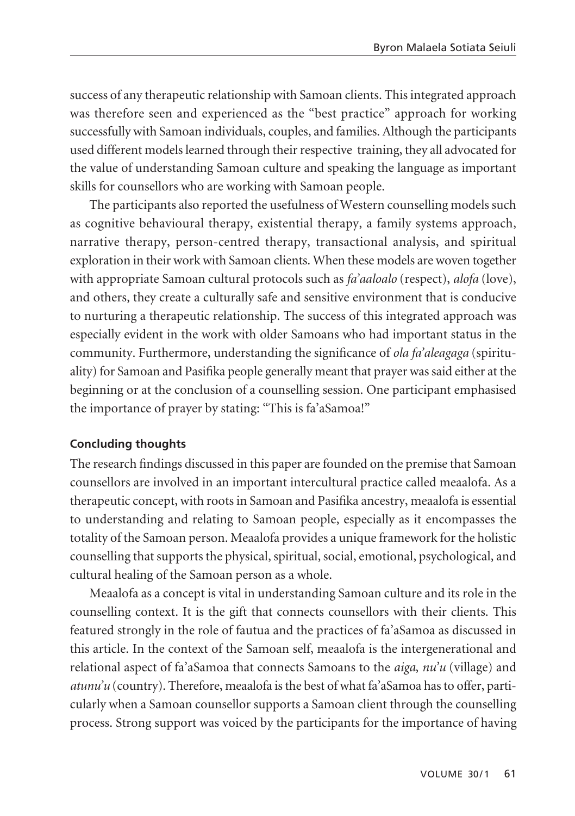success of any therapeutic relationship with Samoan clients. This integrated approach was therefore seen and experienced as the "best practice" approach for working successfully with Samoan individuals, couples, and families. Although the participants used different models learned through their respective training, they all advocated for the value of understanding Samoan culture and speaking the language as important skills for counsellors who are working with Samoan people.

The participants also reported the usefulness of Western counselling models such as cognitive behavioural therapy, existential therapy, a family systems approach, narrative therapy, person-centred therapy, transactional analysis, and spiritual exploration in their work with Samoan clients. When these models are woven together with appropriate Samoan cultural protocols such as *fa'aaloalo* (respect), *alofa* (love), and others, they create a culturally safe and sensitive environment that is conducive to nurturing a therapeutic relationship. The success of this integrated approach was especially evident in the work with older Samoans who had important status in the community. Furthermore, understanding the significance of *ola fa'aleagaga* (spiritu ality) for Samoan and Pasifika people generally meant that prayer was said either at the beginning or at the conclusion of a counselling session. One participant emphasised the importance of prayer by stating: "This is fa'aSamoa!"

## **Concluding thoughts**

The research findings discussed in this paper are founded on the premise that Samoan counsellors are involved in an important intercultural practice called meaalofa. As a therapeutic concept, with roots in Samoan and Pasifika ancestry, meaalofa is essential to understanding and relating to Samoan people, especially as it encompasses the totality of the Samoan person. Meaalofa provides a unique framework for the holistic counselling that supports the physical, spiritual, social, emotional, psychological, and cultural healing of the Samoan person as a whole.

Meaalofa as a concept is vital in understanding Samoan culture and its role in the counselling context. It is the gift that connects counsellors with their clients. This featured strongly in the role of fautua and the practices of fa'aSamoa as discussed in this article. In the context of the Samoan self, meaalofa is the intergenerational and relational aspect of fa'aSamoa that connects Samoans to the *aiga*, *nu'u* (village) and *atunu'u* (country). Therefore, meaalofa is the best of what fa'aSamoa has to offer, particularly when a Samoan counsellor supports a Samoan client through the counselling process. Strong support was voiced by the participants for the importance of having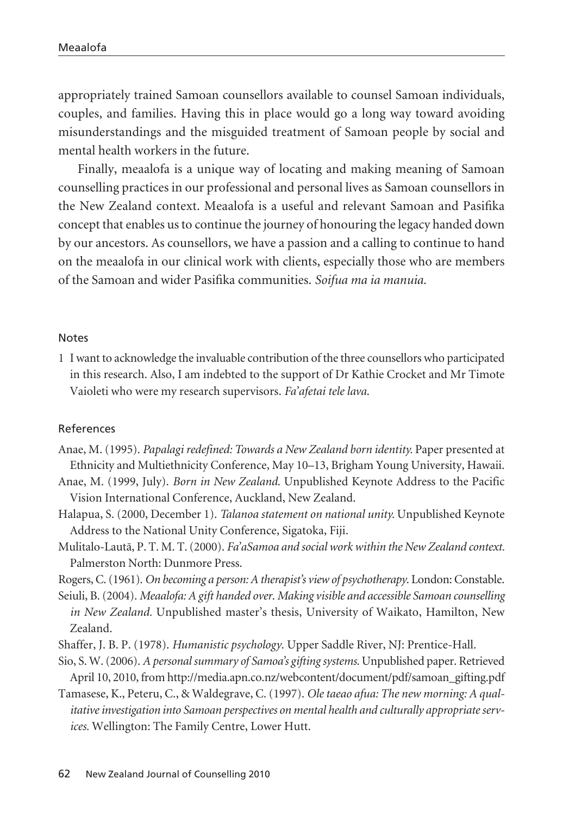appropriately trained Samoan counsellors available to counsel Samoan individuals, couples, and families. Having this in place would go a long way toward avoiding misunderstandings and the misguided treatment of Samoan people by social and mental health workers in the future.

Finally, meaalofa is a unique way of locating and making meaning of Samoan counselling practices in our professional and personal lives as Samoan counsellors in the New Zealand context. Meaalofa is a useful and relevant Samoan and Pasifika concept that enables us to continue the journey of honouring the legacy handed down by our ancestors. As counsellors, we have a passion and a calling to continue to hand on the meaalofa in our clinical work with clients, especially those who are members of the Samoan and wider Pasifika communities. *Soifua ma ia manuia.*

#### Notes

1 I want to acknowledge the invaluable contribution of the three counsellors who participated in this research. Also, I am indebted to the support of Dr Kathie Crocket and Mr Timote Vaioleti who were my research supervisors. *Fa'afetai tele lava*.

#### References

- Anae, M. (1995). *Papalagi redefined: Towards a New Zealand born identity.* Paper presented at Ethnicity and Multiethnicity Conference, May 10–13, Brigham Young University, Hawaii.
- Anae, M. (1999, July). *Born in New Zealand*. Unpublished Keynote Address to the Pacific Vision International Conference, Auckland, New Zealand.
- Halapua, S. (2000, December 1). *Talanoa statement on national unity.* Unpublished Keynote Address to the National Unity Conference, Sigatoka, Fiji.
- Mulitalo-Lautä, P. T. M. T. (2000). *Fa'aSamoa and social work within the New Zealand context.* Palmerston North: Dunmore Press.
- Rogers, C. (1961). *On becoming a person: A therapist's view of psychotherapy*. London: Constable.
- Seiuli, B. (2004). *Meaalofa: A gift handed over*. *Making visible and accessible Samoan counselling in New Zealand.* Unpublished master's thesis, University of Waikato, Hamilton, New Zealand.
- Shaffer, J. B. P. (1978). *Humanistic psychology*. Upper Saddle River, NJ: Prentice-Hall.
- Sio, S. W. (2006). *A personal summary of Samoa's gifting systems.* Unpublished paper. Retrieved April 10, 2010, from http://media.apn.co.nz/webcontent/document/pdf/samoan\_gifting.pdf
- Tamasese, K., Peteru, C., & Waldegrave, C. (1997). *Ole taeao afua: The new morning: A qualitative investigation into Samoan perspectives on mental health and culturally appropriate services.* Wellington: The Family Centre, Lower Hutt.